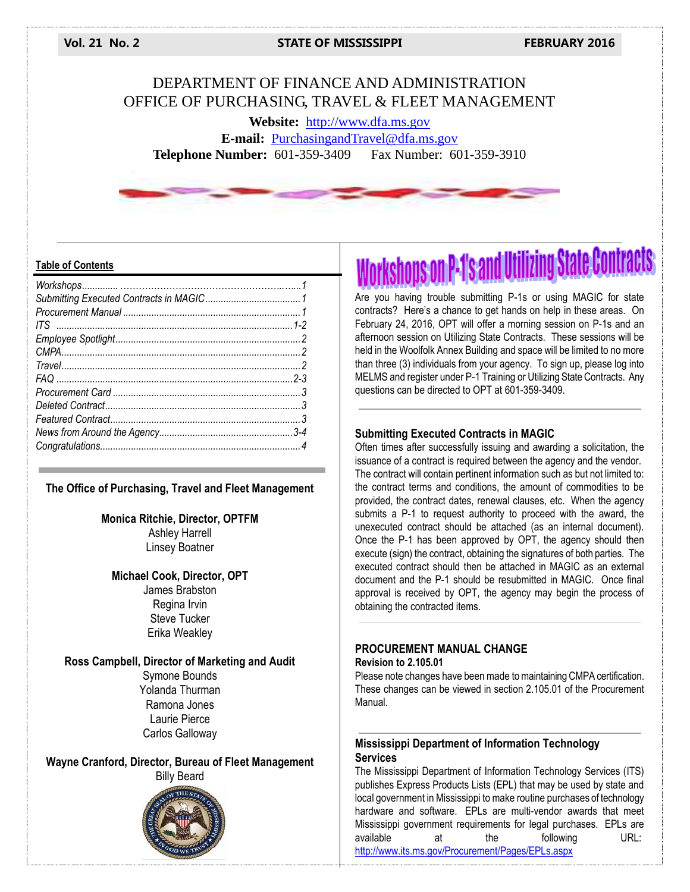**Vol. 21 No. 2 STATE OF MISSISSIPPI FEBRUARY 2016**

## DEPARTMENT OF FINANCE AND ADMINISTRATION OFFICE OF PURCHASING, TRAVEL & FLEET MANAGEMENT

**Website:** [http://www.dfa.ms.gov](http://www.dfa.ms.gov/) **E-mail:** [PurchasingandTravel@dfa.ms.gov](mailto:PurchasingandTravel@dfa.ms.gov) **Telephone Number:** 601-359-3409 Fax Number: 601-359-3910

#### **Table of Contents**

#### **The Office of Purchasing, Travel and Fleet Management**

**Monica Ritchie, Director, OPTFM** Ashley Harrell Linsey Boatner

#### **Michael Cook, Director, OPT**

James Brabston Regina Irvin Steve Tucker Erika Weakley

#### **Ross Campbell, Director of Marketing and Audit**

Symone Bounds Yolanda Thurman Ramona Jones Laurie Pierce Carlos Galloway

**Wayne Cranford, Director, Bureau of Fleet Management** Billy Beard



**Workshops on P-1's and Utilizing State Contracts** 

Are you having trouble submitting P-1s or using MAGIC for state contracts? Here's a chance to get hands on help in these areas. On February 24, 2016, OPT will offer a morning session on P-1s and an afternoon session on Utilizing State Contracts. These sessions will be held in the Woolfolk Annex Building and space will be limited to no more than three (3) individuals from your agency. To sign up, please log into MELMS and register under P-1 Training or Utilizing State Contracts. Any questions can be directed to OPT at 601-359-3409.

#### **Submitting Executed Contracts in MAGIC**

Often times after successfully issuing and awarding a solicitation, the issuance of a contract is required between the agency and the vendor. The contract will contain pertinent information such as but not limited to: the contract terms and conditions, the amount of commodities to be provided, the contract dates, renewal clauses, etc. When the agency submits a P-1 to request authority to proceed with the award, the unexecuted contract should be attached (as an internal document). Once the P-1 has been approved by OPT, the agency should then execute (sign) the contract, obtaining the signatures of both parties. The executed contract should then be attached in MAGIC as an external document and the P-1 should be resubmitted in MAGIC. Once final approval is received by OPT, the agency may begin the process of obtaining the contracted items.

#### **PROCUREMENT MANUAL CHANGE Revision to 2.105.01**

Please note changes have been made to maintaining CMPA certification. These changes can be viewed in section 2.105.01 of the Procurement Manual.

## **Mississippi Department of Information Technology Services**

The Mississippi Department of Information Technology Services (ITS) publishes Express Products Lists (EPL) that may be used by state and local government in Mississippi to make routine purchases of technology hardware and software. EPLs are multi-vendor awards that meet Mississippi government requirements for legal purchases. EPLs are<br>available at the following URL: available at the following <http://www.its.ms.gov/Procurement/Pages/EPLs.aspx>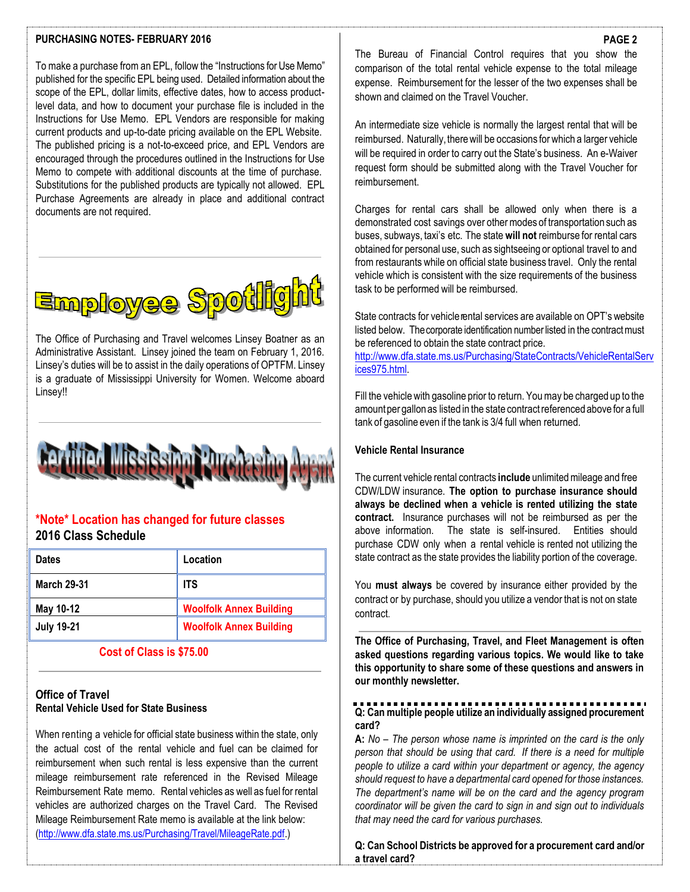#### **PURCHASING NOTES- FEBRUARY 2016**

To make a purchase from an EPL, follow the "Instructions for Use Memo" published for the specific EPL being used. Detailed information about the scope of the EPL, dollar limits, effective dates, how to access productlevel data, and how to document your purchase file is included in the Instructions for Use Memo. EPL Vendors are responsible for making current products and up-to-date pricing available on the EPL Website. The published pricing is a not-to-exceed price, and EPL Vendors are encouraged through the procedures outlined in the Instructions for Use Memo to compete with additional discounts at the time of purchase. Substitutions for the published products are typically not allowed. EPL Purchase Agreements are already in place and additional contract documents are not required.



The Office of Purchasing and Travel welcomes Linsey Boatner as an Administrative Assistant. Linsey joined the team on February 1, 2016. Linsey's duties will be to assist in the daily operations of OPTFM. Linsey is a graduate of Mississippi University for Women. Welcome aboard Linsey!!



## **\*Note\* Location has changed for future classes 2016 Class Schedule**

| <b>Dates</b>       | Location                       |
|--------------------|--------------------------------|
| <b>March 29-31</b> | <b>ITS</b>                     |
| May 10-12          | <b>Woolfolk Annex Building</b> |
| <b>July 19-21</b>  | <b>Woolfolk Annex Building</b> |

 **Cost of Class is \$75.00**

#### **Office of Travel Rental Vehicle Used for State Business**

When renting a vehicle for official state business within the state, only the actual cost of the rental vehicle and fuel can be claimed for reimbursement when such rental is less expensive than the current mileage reimbursement rate referenced in the Revised Mileage Reimbursement Rate memo. Rental vehicles as well as fuel for rental vehicles are authorized charges on the Travel Card. The Revised Mileage Reimbursement Rate memo is available at the link below: [\(http://www.dfa.state.ms.us/Purchasing/Travel/MileageRate.pdf.](http://www.dfa.state.ms.us/Purchasing/Travel/MileageRate.pdf))

The Bureau of Financial Control requires that you show the comparison of the total rental vehicle expense to the total mileage expense. Reimbursement for the lesser of the two expenses shall be shown and claimed on the Travel Voucher.

An intermediate size vehicle is normally the largest rental that will be reimbursed. Naturally, there will be occasions for which a larger vehicle will be required in order to carry out the State's business. An e-Waiver request form should be submitted along with the Travel Voucher for reimbursement.

Charges for rental cars shall be allowed only when there is a demonstrated cost savings over other modes of transportation such as buses, subways, taxi's etc. The state **will not** reimburse for rental cars obtained for personal use, such as sightseeing or optional travel to and from restaurants while on official state business travel. Only the rental vehicle which is consistent with the size requirements of the business task to be performed will be reimbursed.

State contracts for vehiclerental services are available on OPT's website listed below. The corporate identification number listed in the contract must be referenced to obtain the state contract price.

[http://www.dfa.state.ms.us/Purchasing/StateContracts/VehicleRentalServ](http://www.dfa.state.ms.us/Purchasing/StateContracts/VehicleRentalServices975.html) [ices975.html.](http://www.dfa.state.ms.us/Purchasing/StateContracts/VehicleRentalServices975.html)

Fill the vehiclewith gasoline prior to return. Youmay be charged up to the amountper gallonas listed in the state contractreferenced above for a full tank of gasoline even if the tank is 3/4 full when returned.

#### **Vehicle Rental Insurance**

The current vehicle rental contracts **include** unlimitedmileage and free CDW/LDW insurance. **The option to purchase insurance should always be declined when a vehicle is rented utilizing the state contract.** Insurance purchases will not be reimbursed as per the above information. The state is self-insured. Entities should purchase CDW only when a rental vehicle is rented not utilizing the state contract as the state provides the liability portion of the coverage.

You **must always** be covered by insurance either provided by the contract or by purchase, should you utilize a vendor that is not on state contract.

**The Office of Purchasing, Travel, and Fleet Management is often asked questions regarding various topics. We would like to take this opportunity to share some of these questions and answers in our monthly newsletter.**

## **Q: Can multiple people utilize an individually assigned procurement card?**

**A:** *No – The person whose name is imprinted on the card is the only person that should be using that card. If there is a need for multiple people to utilize a card within your department or agency, the agency should request to have a departmental card opened for those instances. The department's name will be on the card and the agency program coordinator will be given the card to sign in and sign out to individuals that may need the card for various purchases.* 

**Q: Can School Districts be approved for a procurement card and/or a travel card?**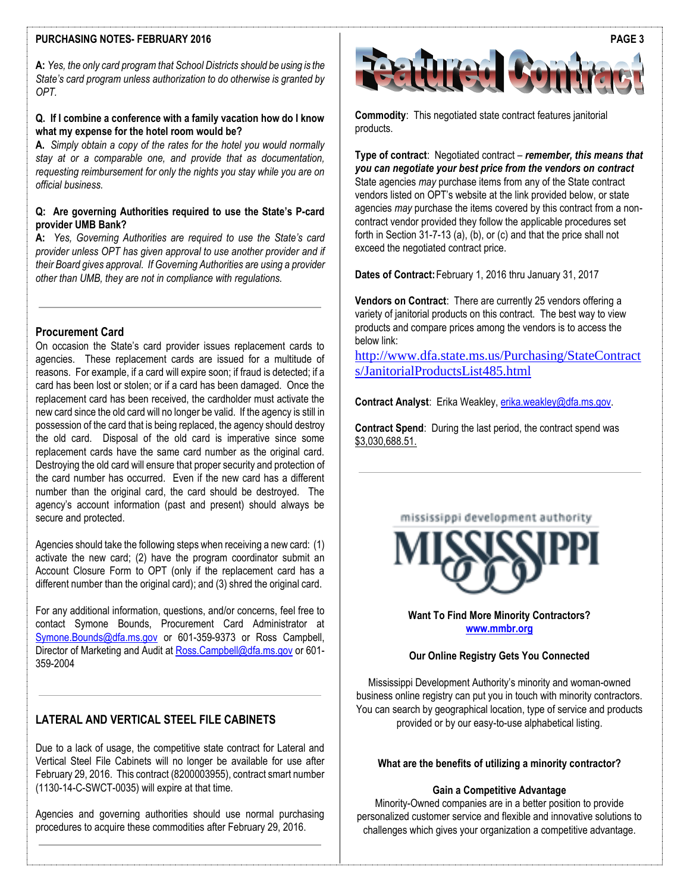#### **PURCHASING NOTES- FEBRUARY 2016**

**A:** *Yes, the only card program that School Districts should be using is the State's card program unless authorization to do otherwise is granted by OPT.* 

#### **Q. If I combine a conference with a family vacation how do I know what my expense for the hotel room would be?**

**A.** *Simply obtain a copy of the rates for the hotel you would normally stay at or a comparable one, and provide that as documentation, requesting reimbursement for only the nights you stay while you are on official business.*

#### **Q: Are governing Authorities required to use the State's P-card provider UMB Bank?**

**A:** *Yes, Governing Authorities are required to use the State's card provider unless OPT has given approval to use another provider and if their Board gives approval. If Governing Authorities are using a provider other than UMB, they are not in compliance with regulations.*

#### **Procurement Card**

On occasion the State's card provider issues replacement cards to agencies. These replacement cards are issued for a multitude of reasons. For example, if a card will expire soon; if fraud is detected; if a card has been lost or stolen; or if a card has been damaged. Once the replacement card has been received, the cardholder must activate the new card since the old card will no longer be valid. If the agency is still in possession of the card that is being replaced, the agency should destroy the old card. Disposal of the old card is imperative since some replacement cards have the same card number as the original card. Destroying the old card will ensure that proper security and protection of the card number has occurred. Even if the new card has a different number than the original card, the card should be destroyed. The agency's account information (past and present) should always be secure and protected.

Agencies should take the following steps when receiving a new card: (1) activate the new card; (2) have the program coordinator submit an Account Closure Form to OPT (only if the replacement card has a different number than the original card); and (3) shred the original card.

For any additional information, questions, and/or concerns, feel free to contact Symone Bounds, Procurement Card Administrator at [Symone.Bounds@dfa.ms.gov](mailto:Symone.Bounds@dfa.ms.gov) or 601-359-9373 or Ross Campbell, Director of Marketing and Audit at [Ross.Campbell@dfa.ms.gov](mailto:Ross.Campbell@dfa.ms.gov) or 601-359-2004

## **LATERAL AND VERTICAL STEEL FILE CABINETS**

Due to a lack of usage, the competitive state contract for Lateral and Vertical Steel File Cabinets will no longer be available for use after February 29, 2016. This contract (8200003955), contract smart number (1130-14-C-SWCT-0035) will expire at that time.

Agencies and governing authorities should use normal purchasing procedures to acquire these commodities after February 29, 2016.



**Commodity**: This negotiated state contract features janitorial products.

**Type of contract**: Negotiated contract – *remember, this means that you can negotiate your best price from the vendors on contract* State agencies *may* purchase items from any of the State contract vendors listed on OPT's website at the link provided below, or state agencies *may* purchase the items covered by this contract from a noncontract vendor provided they follow the applicable procedures set forth in Section 31-7-13 (a), (b), or (c) and that the price shall not exceed the negotiated contract price.

**Dates of Contract:**February 1, 2016 thru January 31, 2017

**Vendors on Contract**: There are currently 25 vendors offering a variety of janitorial products on this contract. The best way to view products and compare prices among the vendors is to access the below link:

[http://www.dfa.state.ms.us/Purchasing/StateContract](http://www.dfa.state.ms.us/Purchasing/StateContracts/JanitorialProductsList485.html) [s/JanitorialProductsList485.html](http://www.dfa.state.ms.us/Purchasing/StateContracts/JanitorialProductsList485.html)

**Contract Analyst**: Erika Weakley[, erika.weakley@dfa.ms.gov.](mailto:erika.weakley@dfa.ms.gov) 

**Contract Spend**: During the last period, the contract spend was \$3,030,688.51.

#### mississippi development authority



**Want To Find More Minority Contractors? [www.mmbr.org](http://www.mmbr.org/)**

#### **Our Online Registry Gets You Connected**

Mississippi Development Authority's minority and woman-owned business online registry can put you in touch with minority contractors. You can search by geographical location, type of service and products provided or by our easy-to-use alphabetical listing.

#### **What are the benefits of utilizing a minority contractor?**

#### **Gain a Competitive Advantage**

Minority-Owned companies are in a better position to provide personalized customer service and flexible and innovative solutions to challenges which gives your organization a competitive advantage.